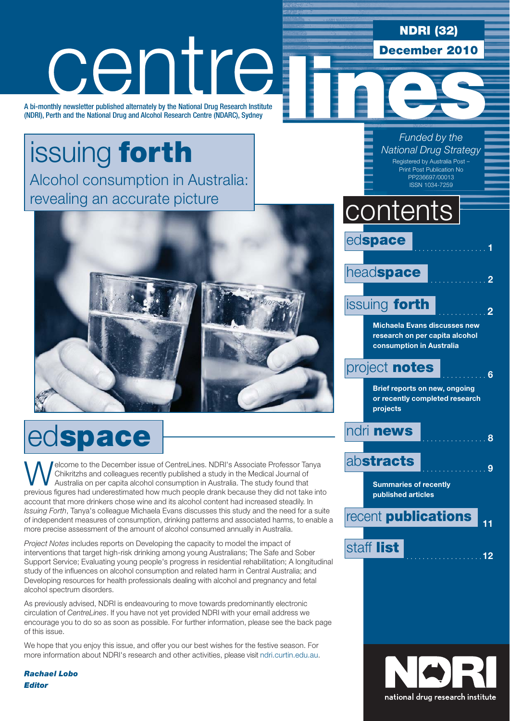# centre

A bi-monthly newsletter published alternately by the National Drug Research Institute (NDRI), Perth and the National Drug and Alcohol Research Centre (NDARC), Sydney

issuing **forth** Alcohol consumption in Australia: revealing an accurate picture



ed**space**

elcome to the December issue of CentreLines. NDRI's Associate Professor Tanya Chikritzhs and colleagues recently published a study in the Medical Journal of Australia on per capita alcohol consumption in Australia. The study found that previous figures had underestimated how much people drank because they did not take into account that more drinkers chose wine and its alcohol content had increased steadily. In *Issuing Forth*, Tanya's colleague Michaela Evans discusses this study and the need for a suite of independent measures of consumption, drinking patterns and associated harms, to enable a more precise assessment of the amount of alcohol consumed annually in Australia.

*Project Notes* includes reports on Developing the capacity to model the impact of interventions that target high-risk drinking among young Australians; The Safe and Sober Support Service; Evaluating young people's progress in residential rehabilitation; A longitudinal study of the influences on alcohol consumption and related harm in Central Australia; and Developing resources for health professionals dealing with alcohol and pregnancy and fetal alcohol spectrum disorders.

As previously advised, NDRI is endeavouring to move towards predominantly electronic circulation of *CentreLines*. If you have not yet provided NDRI with your email address we encourage you to do so as soon as possible. For further information, please see the back page of this issue.

We hope that you enjoy this issue, and offer you our best wishes for the festive season. For more information about NDRI's research and other activities, please visit ndri.curtin.edu.au.

*Rachael Lobo Editor*

*Funded by the National Drug Strategy* Registered by Australia Post – Print Post Publication No PP236697/00013 ISSN 1034-7259

**NDRI (32)**

**December 2010**

### **contents**

head**space** 

ed**space** .................. **<sup>1</sup>**

### issuing **forth**

**Michaela Evans discusses new research on per capita alcohol consumption in Australia**

### project **notes** ........... **<sup>6</sup>**

**Brief reports on new, ongoing or recently completed research projects**

ndri **news** ................ **<sup>8</sup>**

ab**stracts** ................ **<sup>9</sup>**

**Summaries of recently published articles**

**recent publications** staff **list** ...................**<sup>12</sup>**

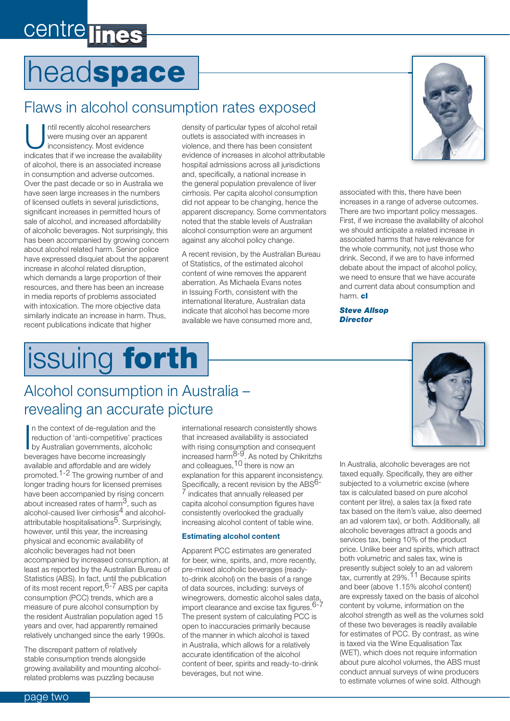### head**space**

### Flaws in alcohol consumption rates exposed

ntil recently alcohol researchers were musing over an apparent inconsistency. Most evidence indicates that if we increase the availability of alcohol, there is an associated increase in consumption and adverse outcomes. Over the past decade or so in Australia we have seen large increases in the numbers of licensed outlets in several jurisdictions, significant increases in permitted hours of sale of alcohol, and increased affordability of alcoholic beverages. Not surprisingly, this has been accompanied by growing concern about alcohol related harm. Senior police have expressed disquiet about the apparent increase in alcohol related disruption, which demands a large proportion of their resources, and there has been an increase in media reports of problems associated with intoxication. The more objective data similarly indicate an increase in harm. Thus, recent publications indicate that higher

#### density of particular types of alcohol retail outlets is associated with increases in violence, and there has been consistent evidence of increases in alcohol attributable hospital admissions across all jurisdictions and, specifically, a national increase in the general population prevalence of liver cirrhosis. Per capita alcohol consumption did not appear to be changing, hence the apparent discrepancy. Some commentators noted that the stable levels of Australian alcohol consumption were an argument against any alcohol policy change.

A recent revision, by the Australian Bureau of Statistics, of the estimated alcohol content of wine removes the apparent aberration. As Michaela Evans notes in Issuing Forth, consistent with the international literature, Australian data indicate that alcohol has become more available we have consumed more and,



associated with this, there have been increases in a range of adverse outcomes. There are two important policy messages. First, if we increase the availability of alcohol we should anticipate a related increase in associated harms that have relevance for the whole community, not just those who drink. Second, if we are to have informed debate about the impact of alcohol policy, we need to ensure that we have accurate and current data about consumption and harm. **cl**

*Steve Allsop Director*

# issuing **forth**

### Alcohol consumption in Australia – revealing an accurate picture

In the context of de-regulation and t<br>reduction of 'anti-competitive' prace<br>by Australian governments, alcohol<br>beverages have become increasingly n the context of de-regulation and the reduction of 'anti-competitive' practices by Australian governments, alcoholic available and affordable and are widely promoted.1-2 The growing number of and longer trading hours for licensed premises have been accompanied by rising concern about increased rates of harm $3$ , such as alcohol-caused liver cirrhosis $^4$  and alcoholattributable hospitalisations<sup>5</sup>. Surprisingly, however, until this year, the increasing physical and economic availability of alcoholic beverages had not been accompanied by increased consumption, at least as reported by the Australian Bureau of Statistics (ABS). In fact, until the publication of its most recent report,  $6-7$  ABS per capita consumption (PCC) trends, which are a measure of pure alcohol consumption by the resident Australian population aged 15 years and over, had apparently remained relatively unchanged since the early 1990s.

The discrepant pattern of relatively stable consumption trends alongside growing availability and mounting alcoholrelated problems was puzzling because

international research consistently shows that increased availability is associated with rising consumption and consequent increased harm<sup>8-9</sup>. As noted by Chikritzhs and colleagues,<sup>10</sup> there is now an explanation for this apparent inconsistency. Specifically, a recent revision by the ABS<sup>6-</sup> 7 indicates that annually released per capita alcohol consumption figures have consistently overlooked the gradually increasing alcohol content of table wine.

#### **Estimating alcohol content**

Apparent PCC estimates are generated for beer, wine, spirits, and, more recently, pre-mixed alcoholic beverages (readyto-drink alcohol) on the basis of a range of data sources, including: surveys of winegrowers, domestic alcohol sales data, import clearance and excise tax figures. 6-7 The present system of calculating PCC is open to inaccuracies primarily because of the manner in which alcohol is taxed in Australia, which allows for a relatively accurate identification of the alcohol content of beer, spirits and ready-to-drink beverages, but not wine.



In Australia, alcoholic beverages are not taxed equally. Specifically, they are either subjected to a volumetric excise (where tax is calculated based on pure alcohol content per litre), a sales tax (a fixed rate tax based on the item's value, also deemed an ad valorem tax), or both. Additionally, all alcoholic beverages attract a goods and services tax, being 10% of the product price. Unlike beer and spirits, which attract both volumetric and sales tax, wine is presently subject solely to an ad valorem tax, currently at 29%.<sup>11</sup> Because spirits and beer (above 1.15% alcohol content) are expressly taxed on the basis of alcohol content by volume, information on the alcohol strength as well as the volumes sold of these two beverages is readily available for estimates of PCC. By contrast, as wine is taxed via the Wine Equalisation Tax (WET), which does not require information about pure alcohol volumes, the ABS must conduct annual surveys of wine producers to estimate volumes of wine sold. Although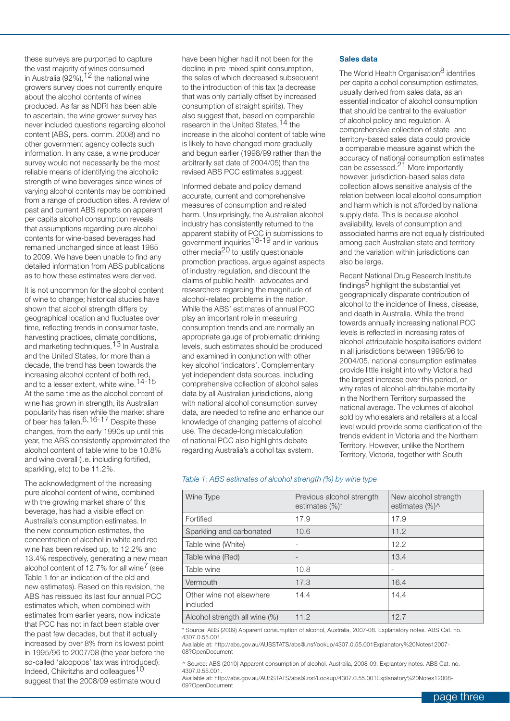these surveys are purported to capture the vast majority of wines consumed in Australia (92%),  $12$  the national wine growers survey does not currently enquire about the alcohol contents of wines produced. As far as NDRI has been able to ascertain, the wine grower survey has never included questions regarding alcohol content (ABS, pers. comm. 2008) and no other government agency collects such information. In any case, a wine producer survey would not necessarily be the most reliable means of identifying the alcoholic strength of wine beverages since wines of varying alcohol contents may be combined from a range of production sites. A review of past and current ABS reports on apparent per capita alcohol consumption reveals that assumptions regarding pure alcohol contents for wine-based beverages had remained unchanged since at least 1985 to 2009. We have been unable to find any detailed information from ABS publications as to how these estimates were derived.

It is not uncommon for the alcohol content of wine to change; historical studies have shown that alcohol strength differs by geographical location and fluctuates over time, reflecting trends in consumer taste, harvesting practices, climate conditions, and marketing techniques.13 In Australia and the United States, for more than a decade, the trend has been towards the increasing alcohol content of both red, and to a lesser extent, white wine.14-15 At the same time as the alcohol content of wine has grown in strength, its Australian popularity has risen while the market share of beer has fallen.6,16-17 Despite these changes, from the early 1990s up until this year, the ABS consistently approximated the alcohol content of table wine to be 10.8% and wine overall (i.e. including fortified, sparkling, etc) to be 11.2%.

The acknowledgment of the increasing pure alcohol content of wine, combined with the growing market share of this beverage, has had a visible effect on Australia's consumption estimates. In the new consumption estimates, the concentration of alcohol in white and red wine has been revised up, to 12.2% and 13.4% respectively, generating a new mean alcohol content of 12.7% for all wine<sup>7</sup> (see Table 1 for an indication of the old and new estimates). Based on this revision, the ABS has reissued its last four annual PCC estimates which, when combined with estimates from earlier years, now indicate that PCC has not in fact been stable over the past few decades, but that it actually increased by over 8% from its lowest point in 1995/96 to 2007/08 (the year before the so-called 'alcopops' tax was introduced). Indeed, Chikritzhs and colleagues<sup>10</sup> suggest that the 2008/09 estimate would

have been higher had it not been for the decline in pre-mixed spirit consumption, the sales of which decreased subsequent to the introduction of this tax (a decrease that was only partially offset by increased consumption of straight spirits). They also suggest that, based on comparable research in the United States,14 the increase in the alcohol content of table wine is likely to have changed more gradually and begun earlier (1998/99 rather than the arbitrarily set date of 2004/05) than the revised ABS PCC estimates suggest.

Informed debate and policy demand accurate, current and comprehensive measures of consumption and related harm. Unsurprisingly, the Australian alcohol industry has consistently returned to the apparent stability of PCC in submissions to government inquiries<sup>18-19</sup> and in various other media $^{20}$  to justify questionable promotion practices, argue against aspects of industry regulation, and discount the claims of public health- advocates and researchers regarding the magnitude of alcohol-related problems in the nation. While the ABS' estimates of annual PCC play an important role in measuring consumption trends and are normally an appropriate gauge of problematic drinking levels, such estimates should be produced and examined in conjunction with other key alcohol 'indicators'. Complementary yet independent data sources, including comprehensive collection of alcohol sales data by all Australian jurisdictions, along with national alcohol consumption survey data, are needed to refine and enhance our knowledge of changing patterns of alcohol use. The decade-long miscalculation of national PCC also highlights debate regarding Australia's alcohol tax system.

#### **Sales data**

The World Health Organisation<sup>8</sup> identifies per capita alcohol consumption estimates, usually derived from sales data, as an essential indicator of alcohol consumption that should be central to the evaluation of alcohol policy and regulation. A comprehensive collection of state- and territory-based sales data could provide a comparable measure against which the accuracy of national consumption estimates can be assessed.<sup>21</sup> More importantly however, jurisdiction-based sales data collection allows sensitive analysis of the relation between local alcohol consumption and harm which is not afforded by national supply data. This is because alcohol availability, levels of consumption and associated harms are not equally distributed among each Australian state and territory and the variation within jurisdictions can also be large.

Recent National Drug Research Institute findings<sup>5</sup> highlight the substantial yet geographically disparate contribution of alcohol to the incidence of illness, disease, and death in Australia. While the trend towards annually increasing national PCC levels is reflected in increasing rates of alcohol-attributable hospitalisations evident in all jurisdictions between 1995/96 to 2004/05, national consumption estimates provide little insight into why Victoria had the largest increase over this period, or why rates of alcohol-attributable mortality in the Northern Territory surpassed the national average. The volumes of alcohol sold by wholesalers and retailers at a local level would provide some clarification of the trends evident in Victoria and the Northern Territory. However, unlike the Northern Territory, Victoria, together with South

#### *Table 1: ABS estimates of alcohol strength (%) by wine type*

| Wine Type                            | Previous alcohol strength<br>estimates (%)* | New alcohol strength<br>estimates $(\%)^{\wedge}$ |
|--------------------------------------|---------------------------------------------|---------------------------------------------------|
| Fortified                            | 17.9                                        | 17.9                                              |
| Sparkling and carbonated             | 10.6                                        | 11.2                                              |
| Table wine (White)                   |                                             | 12.2                                              |
| Table wine (Red)                     |                                             | 13.4                                              |
| Table wine                           | 10.8                                        |                                                   |
| Vermouth                             | 17.3                                        | 16.4                                              |
| Other wine not elsewhere<br>included | 14.4                                        | 14.4                                              |
| Alcohol strength all wine (%)        | 11.2                                        | 12.7                                              |

Source: ABS (2009) Apparent consumption of alcohol, Australia, 2007-08. Explanatory notes. ABS Cat. no. 4307.0.55.001.

Available at: http://abs.gov.au/AUSSTATS/abs@.nsf/ookup/4307.0.55.001Explanatory%20Notes12007- 08?OpenDocument

^ Source: ABS (2010) Apparent consumption of alcohol, Australia, 2008-09. Explantory notes. ABS Cat. no. 4307.0.55.001.

Available at: http://abs.gov.au/AUSSTATS/abs@.nsf/Lookup/4307.0.55.001Explanatory%20Notes12008- 09?OpenDocument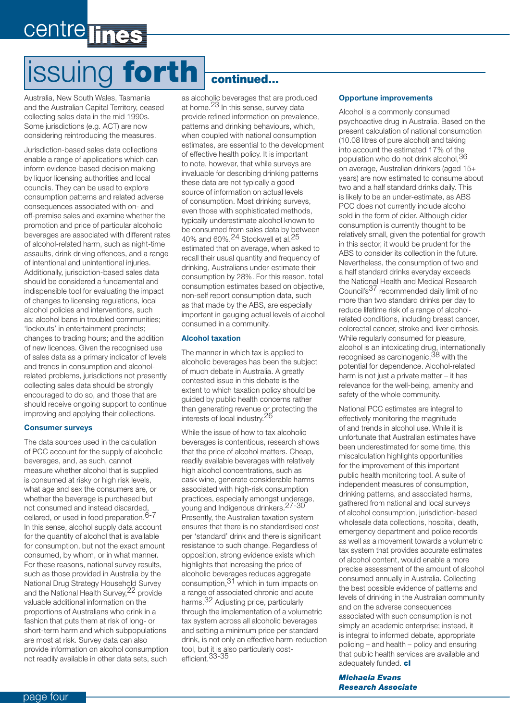# issuing **forth continued...**

Australia, New South Wales, Tasmania and the Australian Capital Territory, ceased collecting sales data in the mid 1990s. Some jurisdictions (e.g. ACT) are now considering reintroducing the measures.

Jurisdiction-based sales data collections enable a range of applications which can inform evidence-based decision making by liquor licensing authorities and local councils. They can be used to explore consumption patterns and related adverse consequences associated with on- and off-premise sales and examine whether the promotion and price of particular alcoholic beverages are associated with different rates of alcohol-related harm, such as night-time assaults, drink driving offences, and a range of intentional and unintentional injuries. Additionally, jurisdiction-based sales data should be considered a fundamental and indispensible tool for evaluating the impact of changes to licensing regulations, local alcohol policies and interventions, such as: alcohol bans in troubled communities; 'lockouts' in entertainment precincts; changes to trading hours; and the addition of new licences. Given the recognised use of sales data as a primary indicator of levels and trends in consumption and alcoholrelated problems, jurisdictions not presently collecting sales data should be strongly encouraged to do so, and those that are should receive ongoing support to continue improving and applying their collections.

#### **Consumer surveys**

The data sources used in the calculation of PCC account for the supply of alcoholic beverages, and, as such, cannot measure whether alcohol that is supplied is consumed at risky or high risk levels, what age and sex the consumers are, or whether the beverage is purchased but not consumed and instead discarded, cellared, or used in food preparation.6-7 In this sense, alcohol supply data account for the quantity of alcohol that is available for consumption, but not the exact amount consumed, by whom, or in what manner. For these reasons, national survey results, such as those provided in Australia by the National Drug Strategy Household Survey and the National Health Survey,22 provide valuable additional information on the proportions of Australians who drink in a fashion that puts them at risk of long- or short-term harm and which subpopulations are most at risk. Survey data can also provide information on alcohol consumption not readily available in other data sets, such

as alcoholic beverages that are produced at home.23 In this sense, survey data provide refined information on prevalence, patterns and drinking behaviours, which, when coupled with national consumption estimates, are essential to the development of effective health policy. It is important to note, however, that while surveys are invaluable for describing drinking patterns these data are not typically a good source of information on actual levels of consumption. Most drinking surveys, even those with sophisticated methods, typically underestimate alcohol known to be consumed from sales data by between 40% and 60%.24 Stockwell et al.25 estimated that on average, when asked to recall their usual quantity and frequency of drinking, Australians under-estimate their consumption by 28%. For this reason, total consumption estimates based on objective, non-self report consumption data, such as that made by the ABS, are especially important in gauging actual levels of alcohol consumed in a community.

#### **Alcohol taxation**

The manner in which tax is applied to alcoholic beverages has been the subject of much debate in Australia. A greatly contested issue in this debate is the extent to which taxation policy should be guided by public health concerns rather than generating revenue or protecting the interests of local industry.26

While the issue of how to tax alcoholic beverages is contentious, research shows that the price of alcohol matters. Cheap, readily available beverages with relatively high alcohol concentrations, such as cask wine, generate considerable harms associated with high-risk consumption practices, especially amongst underage, young and Indigenous drinkers.<sup>27-30</sup> Presently, the Australian taxation system ensures that there is no standardised cost per 'standard' drink and there is significant resistance to such change. Regardless of opposition, strong evidence exists which highlights that increasing the price of alcoholic beverages reduces aggregate consumption,31 which in turn impacts on a range of associated chronic and acute harms.32 Adjusting price, particularly through the implementation of a volumetric tax system across all alcoholic beverages and setting a minimum price per standard drink, is not only an effective harm-reduction tool, but it is also particularly costefficient.33-35

#### **Opportune improvements**

Alcohol is a commonly consumed psychoactive drug in Australia. Based on the present calculation of national consumption (10.08 litres of pure alcohol) and taking into account the estimated 17% of the population who do not drink alcohol,36 on average, Australian drinkers (aged 15+ years) are now estimated to consume about two and a half standard drinks daily. This is likely to be an under-estimate, as ABS PCC does not currently include alcohol sold in the form of cider. Although cider consumption is currently thought to be relatively small, given the potential for growth in this sector, it would be prudent for the ABS to consider its collection in the future. Nevertheless, the consumption of two and a half standard drinks everyday exceeds the National Health and Medical Research Council's37 recommended daily limit of no more than two standard drinks per day to reduce lifetime risk of a range of alcoholrelated conditions, including breast cancer, colorectal cancer, stroke and liver cirrhosis. While regularly consumed for pleasure, alcohol is an intoxicating drug, internationally recognised as carcinogenic,<sup>38</sup> with the potential for dependence. Alcohol-related harm is not just a private matter – it has relevance for the well-being, amenity and safety of the whole community.

National PCC estimates are integral to effectively monitoring the magnitude of and trends in alcohol use. While it is unfortunate that Australian estimates have been underestimated for some time, this miscalculation highlights opportunities for the improvement of this important public health monitoring tool. A suite of independent measures of consumption, drinking patterns, and associated harms, gathered from national and local surveys of alcohol consumption, jurisdiction-based wholesale data collections, hospital, death, emergency department and police records as well as a movement towards a volumetric tax system that provides accurate estimates of alcohol content, would enable a more precise assessment of the amount of alcohol consumed annually in Australia. Collecting the best possible evidence of patterns and levels of drinking in the Australian community and on the adverse consequences associated with such consumption is not simply an academic enterprise; instead, it is integral to informed debate, appropriate policing – and health – policy and ensuring that public health services are available and adequately funded. **cl**

*Michaela Evans Research Associate*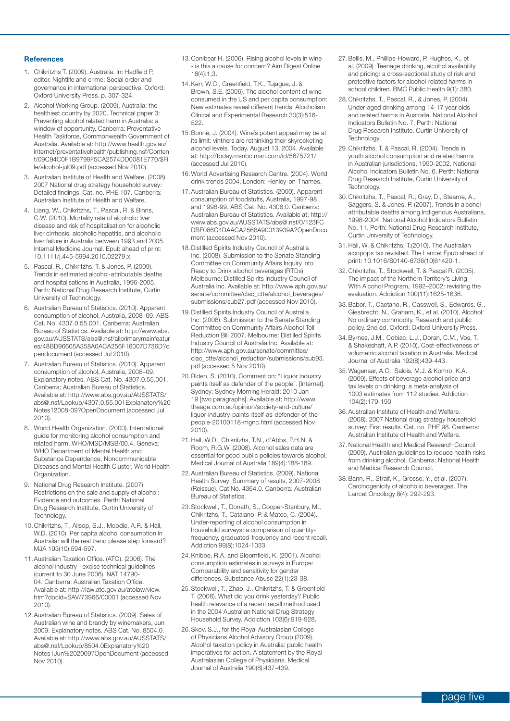#### **References**

- 1. Chikritzhs T. (2009). Australia. In: Hadfield P, editor. Nightlife and crime: Social order and governance in international perspective. Oxford: Oxford University Press. p. 307-324.
- 2. Alcohol Working Group. (2009). Australia: the healthiest country by 2020. Technical paper 3: Preventing alcohol related harm in Australia: a window of opportunity. Canberra: Preventative Health Taskforce, Commonwealth Government of Australia. Available at: http://www.health.gov.au/ internet/preventativehealth/publishing.nsf/Conten t/09C94C0F1B9799F5CA2574DD0081E770/\$Fi le/alcohol-jul09.pdf (accessed Nov 2010).
- 3. Australian Institute of Health and Welfare. (2008). 2007 National drug strategy household survey: Detailed findings. Cat. no. PHE 107. Canberra: Australian Institute of Health and Welfare.
- 4. Liang, W., Chikritzhs, T., Pascal, R. & Binns, C.W. (2010). Mortality rate of alcoholic liver disease and risk of hospitalisation for alcoholic liver cirrhosis, alcoholic hepatitis, and alcoholic liver failure in Australia between 1993 and 2005. Internal Medicine Journal. Epub ahead of print: 10.1111/j.445-5994.2010.02279.x.
- 5. Pascal, R., Chikritzhs, T. & Jones, P. (2009). Trends in estimated alcohol-attributable deaths and hospitalisations in Australia, 1996-2005. Perth: National Drug Research Institute, Curtin University of Technology.
- 6. Australian Bureau of Statistics. (2010). Apparent consumption of alcohol, Australia, 2008–09. ABS Cat. No. 4307.0.55.001. Canberra: Australian Bureau of Statistics. Available at: http://www.abs. gov.au/AUSSTATS/abs@.nsf/allprimarymainfeatur es/48BD96605A358A0ACA256F16007D736D?o pendocument (accessed Jul 2010).
- 7. Australian Bureau of Statistics. (2010). Apparent consumption of alcohol, Australia, 2008–09. Explanatory notes. ABS Cat. No. 4307.0.55.001. Canberra: Australian Bureau of Statistics. Available at: http://www.abs.gov.au/AUSSTATS/ abs@.nsf/Lookup/4307.0.55.001Explanatory%20 Notes12008-09?OpenDocument (accessed Jul 2010).
- 8. World Health Organization. (2000). International guide for monitoring alcohol consumption and related harm. WHO/MSD/MSB/00.4. Geneva: WHO Department of Mental Health and Substance Dependence, Noncommunicable Diseases and Mental Health Cluster, World Health Organization.
- 9. National Drug Research Institute. (2007). Restrictions on the sale and supply of alcohol: Evidence and outcomes. Perth: National Drug Research Institute, Curtin University of Technology.
- 10. Chikritzhs, T., Allsop, S.J., Moodie, A.R. & Hall, W.D. (2010). Per capita alcohol consumption in Australia: will the real trend please step forward? MJA 193(10):594-597.
- 11. Australian Taxation Office. (ATO). (2006). The alcohol industry - excise technical guidelines (current to 30 June 2006). NAT 14790- 04. Canberra: Australian Taxation Office. Available at: http://law.ato.gov.au/atolaw/view. htm?docid=SAV/73966/00001 (accessed Nov 2010).
- 12. Australian Bureau of Statistics. (2009). Sales of Australian wine and brandy by winemakers, Jun 2009. Explanatory notes. ABS Cat. No. 8504.0. Available at: http://www.abs.gov.au/AUSSTATS/ abs@.nsf/Lookup/8504.0Explanatory%20 Notes1Jun%202009?OpenDocument (accessed Nov 2010).
- 13. Conibear H. (2006). Rising alcohol levels in wine - is this a cause for concern? Aim Digest Online 18(4):1,3.
- 14. Kerr, W.C., Greenfield, T.K., Tujague, J. & Brown, S.E. (2006). The alcohol content of wine consumed in the US and per capita consumption: New estimates reveal different trends. Alcoholism Clinical and Experimental Research 30(3):516- 522.
- 15. Bonné, J. (2004). Wine's potent appeal may be at its limit: vintners are rethinking their skyrocketing alcohol levels. Today. August 13, 2004. Available at: http://today.msnbc.msn.com/id/5675721/ (accessed Jul 2010).
- 16. World Advertising Research Centre. (2004). World drink trends 2004. London: Henley-on-Thames.
- 17. Australian Bureau of Statistics. (2000). Apparent consumption of foodstuffs, Australia, 1997-98 and 1998-99. ABS Cat. No. 4306.0. Canberra: Australian Bureau of Statistics. Available at: http:// www.abs.gov.au/AUSSTATS/abs@.nsf/0/123FC DBF086C4DAACA2568A90013939A?OpenDocu ment (accessed Nov 2010).
- 18. Distilled Spirits Industry Council of Australia Inc. (2008). Submission to the Senate Standing Committee on Community Affairs Inquiry into Ready to Drink alcohol beverages (RTDs). Melbourne: Distilled Spirits Industry Council of Australia Inc. Available at: http://www.aph.gov.au/ senate/committee/clac\_ctte/alcohol\_beverages/ submissions/sub27.pdf (accessed Nov 2010).
- 19. Distilled Spirits Industry Council of Australia Inc. (2008). Submission to the Senate Standing Committee on Community Affairs Alcohol Toll Reduction Bill 2007. Melbourne: Distilled Spirits Industry Council of Australia Inc. Available at: http://www.aph.gov.au/senate/committee/ clac\_ctte/alcohol\_reduction/submissions/sub93. pdf (accessed 5 Nov 2010).
- 20. Riden, S. (2010). Comment on: "Liquor industry paints itself as defender of the people". [Internet]. Sydney: Sydney Morning Herald; 2010 Jan 19 [two paragraphs]. Available at: http://www. theage.com.au/opinion/society-and-culture/ liquor-industry-paints-itself-as-defender-of-thepeople-20100118-mgnc.html (accessed Nov 2010).
- 21. Hall, W.D., Chikritzhs, T.N., d'Abbs, P.H.N. & Room, R.G.W. (2008). Alcohol sales data are essential for good public policies towards alcohol. Medical Journal of Australia 189(4):188-189.
- 22. Australian Bureau of Statistics. (2009). National Health Survey: Summary of results, 2007-2008 (Reissue). Cat No. 4364.0. Canberra: Australian Bureau of Statistics.
- 23. Stockwell, T., Donath, S., Cooper-Stanbury, M., Chikritzhs, T., Catalano, P. & Mateo, C. (2004). Under-reporting of alcohol consumption in household surveys: a comparison of quantityfrequency, graduated-frequency and recent recall. Addiction 99(8):1024-1033.
- 24. Knibbe, R.A. and Bloomfield, K. (2001). Alcohol consumption estimates in surveys in Europe: Comparability and sensitivity for gender differences. Substance Abuse 22(1):23-38.
- 25. Stockwell, T., Zhao, J., Chikritzhs, T. & Greenfield T. (2008). What did you drink yesterday? Public health relevance of a recent recall method used in the 2004 Australian National Drug Strategy Household Survey. Addiction 103(6):919-928.
- 26. Skov, S.J., for the Royal Australasian College of Physicians Alcohol Advisory Group (2009). Alcohol taxation policy in Australia: public health imperatives for action. A statement by the Royal Australasian College of Physicians. Medical Journal of Australia 190(8):437-439.
- 27. Bellis, M., Phillips-Howard, P. Hughes, K., et al. (2009). Teenage drinking, alcohol availability and pricing: a cross-sectional study of risk and protective factors for alcohol-related harms in school children. BMC Public Health 9(1): 380.
- 28. Chikritzhs, T., Pascal, R., & Jones, P. (2004). Under-aged drinking among 14-17 year olds and related harms in Australia. National Alcohol Indicators Bulletin No. 7. Perth: National Drug Research Institute, Curtin University of Technology.
- 29. Chikritzhs, T. & Pascal, R. (2004). Trends in youth alcohol consumption and related harms in Australian jurisdictions, 1990-2002. National Alcohol Indicators Bulletin No. 6. Perth: National Drug Research Institute, Curtin University of Technology.
- 30. Chikritzhs, T., Pascal, R., Gray, D., Stearne, A., Saggers, S. & Jones, P. (2007). Trends in alcoholattributable deaths among Indigenous Australians, 1998-2004. National Alcohol Indicators Bulletin No. 11. Perth: National Drug Research Institute, Curtin University of Technology.
- 31. Hall, W. & Chikritzhs, T.(2010). The Australian alcopops tax revisited. The Lancet Epub ahead of print: 10.1016/S0140-6736(10)61420-1.
- 32. Chikritzhs, T., Stockwell, T. & Pascal R. (2005). The impact of the Northern Territory's Living With Alcohol Program, 1992–2002: revisiting the evaluation. Addiction 100(11):1625-1636.
- 33. Babor, T., Caetano, R., Casswell, S., Edwards, G., Giesbrecht, N., Graham, K., et al. (2010). Alcohol: No ordinary commodity. Research and public policy. 2nd ed. Oxford: Oxford University Press.
- 34. Byrnes, J.M., Cobiac, L.J., Doran, C.M., Vos, T. & Shakeshaft, A.P. (2010). Cost-effectiveness of volumetric alcohol taxation in Australia. Medical Journal of Australia 192(8):439-443.
- 35. Wagenaar, A.C., Salois, M.J. & Komro, K.A. (2009). Effects of beverage alcohol price and tax levels on drinking: a meta-analysis of 1003 estimates from 112 studies. Addiction 104(2):179-190.
- 36. Australian Institute of Health and Welfare. (2008). 2007 National drug strategy household survey: First results. Cat. no. PHE 98. Canberra: Australian Institute of Health and Welfare.
- 37. National Health and Medical Research Council. (2009). Australian guidelines to reduce health risks from drinking alcohol. Canberra: National Health and Medical Research Council.
- 38. Bann, R., Straif, K., Grosse, Y., et al. (2007). Carcinogenicity of alcoholic beverages. The Lancet Oncology 8(4): 292-293.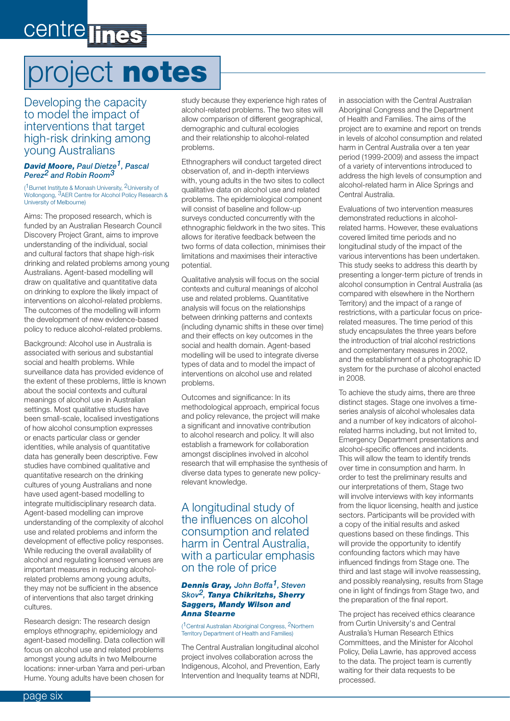# project **notes**

Developing the capacity to model the impact of interventions that target high-risk drinking among young Australians

#### *David Moore, Paul Dietze1, Pascal Perez2 and Robin Room3*

( 1Burnet Institute & Monash University, 2University of Wollongong, 3AER Centre for Alcohol Policy Research & University of Melbourne)

Aims: The proposed research, which is funded by an Australian Research Council Discovery Project Grant, aims to improve understanding of the individual, social and cultural factors that shape high-risk drinking and related problems among young Australians. Agent-based modelling will draw on qualitative and quantitative data on drinking to explore the likely impact of interventions on alcohol-related problems. The outcomes of the modelling will inform the development of new evidence-based policy to reduce alcohol-related problems.

Background: Alcohol use in Australia is associated with serious and substantial social and health problems. While surveillance data has provided evidence of the extent of these problems, little is known about the social contexts and cultural meanings of alcohol use in Australian settings. Most qualitative studies have been small-scale, localised investigations of how alcohol consumption expresses or enacts particular class or gender identities, while analysis of quantitative data has generally been descriptive. Few studies have combined qualitative and quantitative research on the drinking cultures of young Australians and none have used agent-based modelling to integrate multidisciplinary research data. Agent-based modelling can improve understanding of the complexity of alcohol use and related problems and inform the development of effective policy responses. While reducing the overall availability of alcohol and regulating licensed venues are important measures in reducing alcoholrelated problems among young adults, they may not be sufficient in the absence of interventions that also target drinking cultures.

Research design: The research design employs ethnography, epidemiology and agent-based modelling. Data collection will focus on alcohol use and related problems amongst young adults in two Melbourne locations: inner-urban Yarra and peri-urban Hume. Young adults have been chosen for

study because they experience high rates of alcohol-related problems. The two sites will allow comparison of different geographical, demographic and cultural ecologies and their relationship to alcohol-related problems.

Ethnographers will conduct targeted direct observation of, and in-depth interviews with, young adults in the two sites to collect qualitative data on alcohol use and related problems. The epidemiological component will consist of baseline and follow-up surveys conducted concurrently with the ethnographic fieldwork in the two sites. This allows for iterative feedback between the two forms of data collection, minimises their limitations and maximises their interactive potential.

Qualitative analysis will focus on the social contexts and cultural meanings of alcohol use and related problems. Quantitative analysis will focus on the relationships between drinking patterns and contexts (including dynamic shifts in these over time) and their effects on key outcomes in the social and health domain. Agent-based modelling will be used to integrate diverse types of data and to model the impact of interventions on alcohol use and related problems.

Outcomes and significance: In its methodological approach, empirical focus and policy relevance, the project will make a significant and innovative contribution to alcohol research and policy. It will also establish a framework for collaboration amongst disciplines involved in alcohol research that will emphasise the synthesis of diverse data types to generate new policyrelevant knowledge.

A longitudinal study of the influences on alcohol consumption and related harm in Central Australia, with a particular emphasis on the role of price

#### *Dennis Gray, John Boffa1, Steven Skov2, Tanya Chikritzhs, Sherry Saggers, Mandy Wilson and Anna Stearne*

( 1Central Australian Aboriginal Congress, 2Northern Territory Department of Health and Families)

The Central Australian longitudinal alcohol project involves collaboration across the Indigenous, Alcohol, and Prevention, Early Intervention and Inequality teams at NDRI, in association with the Central Australian Aboriginal Congress and the Department of Health and Families. The aims of the project are to examine and report on trends in levels of alcohol consumption and related harm in Central Australia over a ten year period (1999-2009) and assess the impact of a variety of interventions introduced to address the high levels of consumption and alcohol-related harm in Alice Springs and Central Australia.

Evaluations of two intervention measures demonstrated reductions in alcoholrelated harms. However, these evaluations covered limited time periods and no longitudinal study of the impact of the various interventions has been undertaken. This study seeks to address this dearth by presenting a longer-term picture of trends in alcohol consumption in Central Australia (as compared with elsewhere in the Northern Territory) and the impact of a range of restrictions, with a particular focus on pricerelated measures. The time period of this study encapsulates the three years before the introduction of trial alcohol restrictions and complementary measures in 2002, and the establishment of a photographic ID system for the purchase of alcohol enacted in 2008.

To achieve the study aims, there are three distinct stages. Stage one involves a timeseries analysis of alcohol wholesales data and a number of key indicators of alcoholrelated harms including, but not limited to, Emergency Department presentations and alcohol-specific offences and incidents. This will allow the team to identify trends over time in consumption and harm. In order to test the preliminary results and our interpretations of them, Stage two will involve interviews with key informants from the liquor licensing, health and justice sectors. Participants will be provided with a copy of the initial results and asked questions based on these findings. This will provide the opportunity to identify confounding factors which may have influenced findings from Stage one. The third and last stage will involve reassessing, and possibly reanalysing, results from Stage one in light of findings from Stage two, and the preparation of the final report.

The project has received ethics clearance from Curtin University's and Central Australia's Human Research Ethics Committees, and the Minister for Alcohol Policy, Delia Lawrie, has approved access to the data. The project team is currently waiting for their data requests to be processed.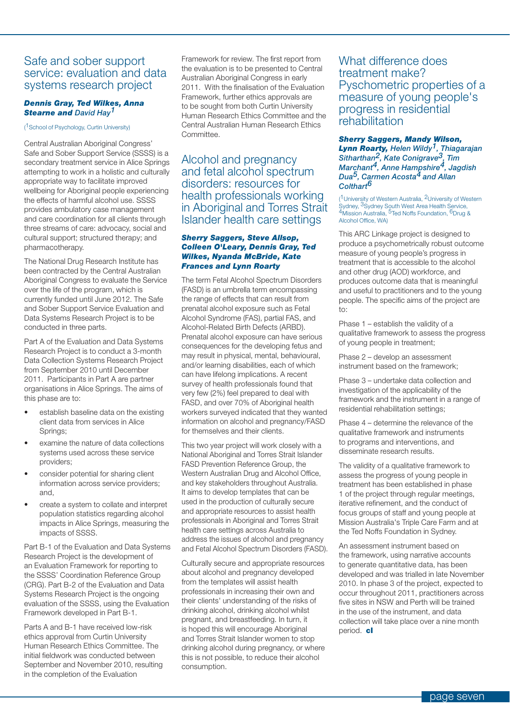#### Safe and sober support service: evaluation and data systems research project

#### *Dennis Gray, Ted Wilkes, Anna Stearne and David Hay1*

#### ( 1School of Psychology, Curtin University)

Central Australian Aboriginal Congress' Safe and Sober Support Service (SSSS) is a secondary treatment service in Alice Springs attempting to work in a holistic and culturally appropriate way to facilitate improved wellbeing for Aboriginal people experiencing the effects of harmful alcohol use. SSSS provides ambulatory case management and care coordination for all clients through three streams of care: advocacy, social and cultural support; structured therapy; and pharmacotherapy.

The National Drug Research Institute has been contracted by the Central Australian Aboriginal Congress to evaluate the Service over the life of the program, which is currently funded until June 2012. The Safe and Sober Support Service Evaluation and Data Systems Research Project is to be conducted in three parts.

Part A of the Evaluation and Data Systems Research Project is to conduct a 3-month Data Collection Systems Research Project from September 2010 until December 2011. Participants in Part A are partner organisations in Alice Springs. The aims of this phase are to:

- establish baseline data on the existing client data from services in Alice Springs;
- examine the nature of data collections systems used across these service providers;
- consider potential for sharing client information across service providers; and,
- create a system to collate and interpret population statistics regarding alcohol impacts in Alice Springs, measuring the impacts of SSSS.

Part B-1 of the Evaluation and Data Systems Research Project is the development of an Evaluation Framework for reporting to the SSSS' Coordination Reference Group (CRG). Part B-2 of the Evaluation and Data Systems Research Project is the ongoing evaluation of the SSSS, using the Evaluation Framework developed in Part B-1.

Parts A and B-1 have received low-risk ethics approval from Curtin University Human Research Ethics Committee. The initial fieldwork was conducted between September and November 2010, resulting in the completion of the Evaluation

Framework for review. The first report from the evaluation is to be presented to Central Australian Aboriginal Congress in early 2011. With the finalisation of the Evaluation Framework, further ethics approvals are to be sought from both Curtin University Human Research Ethics Committee and the Central Australian Human Research Ethics Committee.

Alcohol and pregnancy and fetal alcohol spectrum disorders: resources for health professionals working in Aboriginal and Torres Strait Islander health care settings

#### *Sherry Saggers, Steve Allsop, Colleen O'Leary, Dennis Gray, Ted Wilkes, Nyanda McBride, Kate Frances and Lynn Roarty*

The term Fetal Alcohol Spectrum Disorders (FASD) is an umbrella term encompassing the range of effects that can result from prenatal alcohol exposure such as Fetal Alcohol Syndrome (FAS), partial FAS, and Alcohol-Related Birth Defects (ARBD). Prenatal alcohol exposure can have serious consequences for the developing fetus and may result in physical, mental, behavioural, and/or learning disabilities, each of which can have lifelong implications. A recent survey of health professionals found that very few (2%) feel prepared to deal with FASD, and over 70% of Aboriginal health workers surveyed indicated that they wanted information on alcohol and pregnancy/FASD for themselves and their clients.

This two year project will work closely with a National Aboriginal and Torres Strait Islander FASD Prevention Reference Group, the Western Australian Drug and Alcohol Office, and key stakeholders throughout Australia. It aims to develop templates that can be used in the production of culturally secure and appropriate resources to assist health professionals in Aboriginal and Torres Strait health care settings across Australia to address the issues of alcohol and pregnancy and Fetal Alcohol Spectrum Disorders (FASD).

Culturally secure and appropriate resources about alcohol and pregnancy developed from the templates will assist health professionals in increasing their own and their clients' understanding of the risks of drinking alcohol, drinking alcohol whilst pregnant, and breastfeeding. In turn, it is hoped this will encourage Aboriginal and Torres Strait Islander women to stop drinking alcohol during pregnancy, or where this is not possible, to reduce their alcohol consumption.

What difference does treatment make? Pyschometric properties of a measure of young people's progress in residential rehabilitation

*Sherry Saggers, Mandy Wilson, Lynn Roarty, Helen Wildy1, Thiagarajan Sitharthan2, Kate Conigrave3, Tim Marchant4, Anne Hampshire4, Jagdish Dua5, Carmen Acosta4 and Allan Colthart6*

( 1University of Western Australia, 2University of Western Sydney, 3Sydney South West Area Health Service, 4Mission Australia, 5Ted Noffs Foundation, 6Drug & Alcohol Office, WA)

This ARC Linkage project is designed to produce a psychometrically robust outcome measure of young people's progress in treatment that is accessible to the alcohol and other drug (AOD) workforce, and produces outcome data that is meaningful and useful to practitioners and to the young people. The specific aims of the project are  $t^{\circ}$ 

Phase 1 – establish the validity of a qualitative framework to assess the progress of young people in treatment;

Phase 2 - develop an assessment instrument based on the framework;

Phase 3 – undertake data collection and investigation of the applicability of the framework and the instrument in a range of residential rehabilitation settings;

Phase 4 - determine the relevance of the qualitative framework and instruments to programs and interventions, and disseminate research results.

The validity of a qualitative framework to assess the progress of young people in treatment has been established in phase 1 of the project through regular meetings, iterative refinement, and the conduct of focus groups of staff and young people at Mission Australia's Triple Care Farm and at the Ted Noffs Foundation in Sydney.

An assessment instrument based on the framework, using narrative accounts to generate quantitative data, has been developed and was trialled in late November 2010. In phase 3 of the project, expected to occur throughout 2011, practitioners across five sites in NSW and Perth will be trained in the use of the instrument, and data collection will take place over a nine month period. **cl**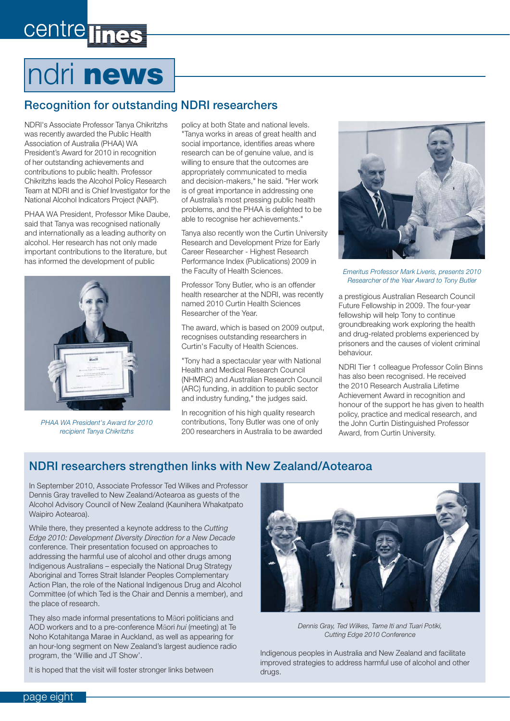# ndri **news**

#### **Recognition for outstanding NDRI researchers**

NDRI's Associate Professor Tanya Chikritzhs was recently awarded the Public Health Association of Australia (PHAA) WA President's Award for 2010 in recognition of her outstanding achievements and contributions to public health. Professor Chikritzhs leads the Alcohol Policy Research Team at NDRI and is Chief Investigator for the National Alcohol Indicators Project (NAIP).

PHAA WA President, Professor Mike Daube, said that Tanya was recognised nationally and internationally as a leading authority on alcohol. Her research has not only made important contributions to the literature, but has informed the development of public



*PHAA WA President's Award for 2010 recipient Tanya Chikritzhs*

policy at both State and national levels. "Tanya works in areas of great health and social importance, identifies areas where research can be of genuine value, and is willing to ensure that the outcomes are appropriately communicated to media and decision-makers," he said. "Her work is of great importance in addressing one of Australia's most pressing public health problems, and the PHAA is delighted to be able to recognise her achievements."

Tanya also recently won the Curtin University Research and Development Prize for Early Career Researcher - Highest Research Performance Index (Publications) 2009 in the Faculty of Health Sciences.

Professor Tony Butler, who is an offender health researcher at the NDRI, was recently named 2010 Curtin Health Sciences Researcher of the Year.

The award, which is based on 2009 output, recognises outstanding researchers in Curtin's Faculty of Health Sciences.

"Tony had a spectacular year with National Health and Medical Research Council (NHMRC) and Australian Research Council (ARC) funding, in addition to public sector and industry funding," the judges said.

In recognition of his high quality research contributions, Tony Butler was one of only 200 researchers in Australia to be awarded



*Emeritus Professor Mark Liveris, presents 2010 Researcher of the Year Award to Tony Butler*

a prestigious Australian Research Council Future Fellowship in 2009. The four-year fellowship will help Tony to continue groundbreaking work exploring the health and drug-related problems experienced by prisoners and the causes of violent criminal behaviour.

NDRI Tier 1 colleague Professor Colin Binns has also been recognised. He received the 2010 Research Australia Lifetime Achievement Award in recognition and honour of the support he has given to health policy, practice and medical research, and the John Curtin Distinguished Professor Award, from Curtin University.

#### **NDRI researchers strengthen links with New Zealand/Aotearoa**

In September 2010, Associate Professor Ted Wilkes and Professor Dennis Gray travelled to New Zealand/Aotearoa as guests of the Alcohol Advisory Council of New Zealand (Kaunihera Whakatpato Waipiro Aotearoa).

While there, they presented a keynote address to the *Cutting Edge 2010: Development Diversity Direction for a New Decade* conference. Their presentation focused on approaches to addressing the harmful use of alcohol and other drugs among Indigenous Australians – especially the National Drug Strategy Aboriginal and Torres Strait Islander Peoples Complementary Action Plan, the role of the National Indigenous Drug and Alcohol Committee (of which Ted is the Chair and Dennis a member), and the place of research.

They also made informal presentations to Māori politicians and AOD workers and to a pre-conference Māori hui (meeting) at Te Noho Kotahitanga Marae in Auckland, as well as appearing for an hour-long segment on New Zealand's largest audience radio program, the 'Willie and JT Show'.

It is hoped that the visit will foster stronger links between



*Dennis Gray, Ted Wilkes, Tame Iti and Tuari Potiki, Cutting Edge 2010 Conference*

Indigenous peoples in Australia and New Zealand and facilitate improved strategies to address harmful use of alcohol and other drugs.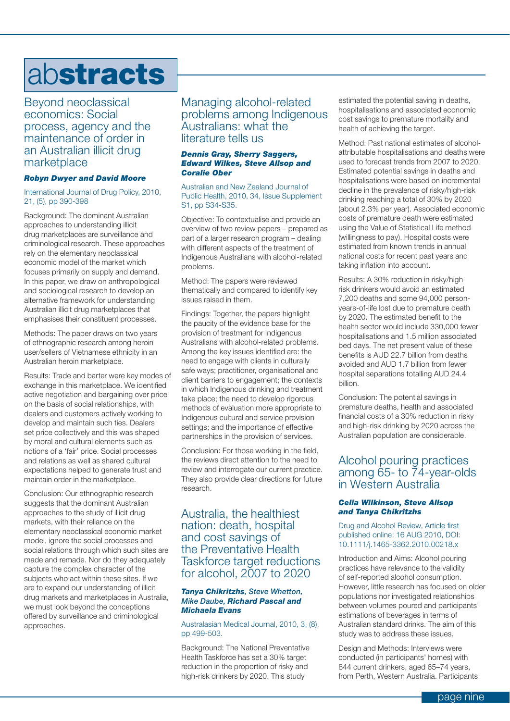### ab**stracts**

Beyond neoclassical economics: Social process, agency and the maintenance of order in an Australian illicit drug marketplace

#### *Robyn Dwyer and David Moore*

#### International Journal of Drug Policy, 2010, 21, (5), pp 390-398

Background: The dominant Australian approaches to understanding illicit drug marketplaces are surveillance and criminological research. These approaches rely on the elementary neoclassical economic model of the market which focuses primarily on supply and demand. In this paper, we draw on anthropological and sociological research to develop an alternative framework for understanding Australian illicit drug marketplaces that emphasises their constituent processes.

Methods: The paper draws on two years of ethnographic research among heroin user/sellers of Vietnamese ethnicity in an Australian heroin marketplace.

Results: Trade and barter were key modes of exchange in this marketplace. We identified active negotiation and bargaining over price on the basis of social relationships, with dealers and customers actively working to develop and maintain such ties. Dealers set price collectively and this was shaped by moral and cultural elements such as notions of a 'fair' price. Social processes and relations as well as shared cultural expectations helped to generate trust and maintain order in the marketplace.

Conclusion: Our ethnographic research suggests that the dominant Australian approaches to the study of illicit drug markets, with their reliance on the elementary neoclassical economic market model, ignore the social processes and social relations through which such sites are made and remade. Nor do they adequately capture the complex character of the subjects who act within these sites. If we are to expand our understanding of illicit drug markets and marketplaces in Australia, we must look beyond the conceptions offered by surveillance and criminological approaches.

#### Managing alcohol-related problems among Indigenous Australians: what the literature tells us

#### *Dennis Gray, Sherry Saggers, Edward Wilkes, Steve Allsop and Coralie Ober*

Australian and New Zealand Journal of Public Health, 2010, 34, Issue Supplement S1, pp S34-S35.

Objective: To contextualise and provide an overview of two review papers – prepared as part of a larger research program – dealing with different aspects of the treatment of Indigenous Australians with alcohol-related problems.

Method: The papers were reviewed thematically and compared to identify key issues raised in them.

Findings: Together, the papers highlight the paucity of the evidence base for the provision of treatment for Indigenous Australians with alcohol-related problems. Among the key issues identified are: the need to engage with clients in culturally safe ways; practitioner, organisational and client barriers to engagement; the contexts in which Indigenous drinking and treatment take place; the need to develop rigorous methods of evaluation more appropriate to Indigenous cultural and service provision settings; and the importance of effective partnerships in the provision of services.

Conclusion: For those working in the field, the reviews direct attention to the need to review and interrogate our current practice. They also provide clear directions for future research.

#### Australia, the healthiest nation: death, hospital and cost savings of the Preventative Health Taskforce target reductions for alcohol, 2007 to 2020

#### *Tanya Chikritzhs, Steve Whetton, Mike Daube, Richard Pascal and Michaela Evans*

Australasian Medical Journal, 2010, 3, (8), pp 499-503.

Background: The National Preventative Health Taskforce has set a 30% target reduction in the proportion of risky and high-risk drinkers by 2020. This study

estimated the potential saving in deaths, hospitalisations and associated economic cost savings to premature mortality and health of achieving the target.

Method: Past national estimates of alcoholattributable hospitalisations and deaths were used to forecast trends from 2007 to 2020. Estimated potential savings in deaths and hospitalisations were based on incremental decline in the prevalence of risky/high-risk drinking reaching a total of 30% by 2020 (about 2.3% per year). Associated economic costs of premature death were estimated using the Value of Statistical Life method (willingness to pay). Hospital costs were estimated from known trends in annual national costs for recent past years and taking inflation into account.

Results: A 30% reduction in risky/highrisk drinkers would avoid an estimated 7,200 deaths and some 94,000 personyears-of-life lost due to premature death by 2020. The estimated benefit to the health sector would include 330,000 fewer hospitalisations and 1.5 million associated bed days. The net present value of these benefits is AUD 22.7 billion from deaths avoided and AUD 1.7 billion from fewer hospital separations totalling AUD 24.4 billion.

Conclusion: The potential savings in premature deaths, health and associated financial costs of a 30% reduction in risky and high-risk drinking by 2020 across the Australian population are considerable.

#### Alcohol pouring practices among 65- to 74-year-olds in Western Australia

#### *Celia Wilkinson, Steve Allsop and Tanya Chikritzhs*

Drug and Alcohol Review, Article first published online: 16 AUG 2010, DOI: 10.1111/j.1465-3362.2010.00218.x

Introduction and Aims: Alcohol pouring practices have relevance to the validity of self-reported alcohol consumption. However, little research has focused on older populations nor investigated relationships between volumes poured and participants' estimations of beverages in terms of Australian standard drinks. The aim of this study was to address these issues.

Design and Methods: Interviews were conducted (in participants' homes) with 844 current drinkers, aged 65–74 years, from Perth, Western Australia. Participants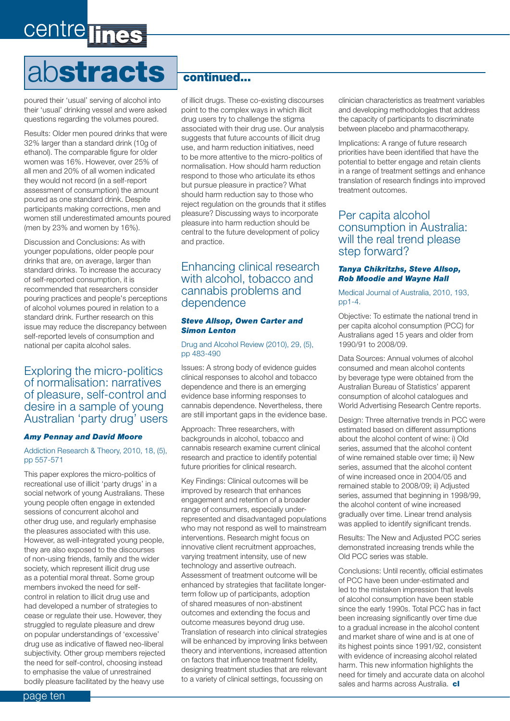### ab**stracts continued...**

poured their 'usual' serving of alcohol into their 'usual' drinking vessel and were asked questions regarding the volumes poured.

Results: Older men poured drinks that were 32% larger than a standard drink (10g of ethanol). The comparable figure for older women was 16%. However, over 25% of all men and 20% of all women indicated they would not record (in a self-report assessment of consumption) the amount poured as one standard drink. Despite participants making corrections, men and women still underestimated amounts poured (men by 23% and women by 16%).

Discussion and Conclusions: As with younger populations, older people pour drinks that are, on average, larger than standard drinks. To increase the accuracy of self-reported consumption, it is recommended that researchers consider pouring practices and people's perceptions of alcohol volumes poured in relation to a standard drink. Further research on this issue may reduce the discrepancy between self-reported levels of consumption and national per capita alcohol sales.

#### Exploring the micro-politics of normalisation: narratives of pleasure, self-control and desire in a sample of young Australian 'party drug' users

#### *Amy Pennay and David Moore*

#### Addiction Research & Theory, 2010, 18, (5), pp 557-571

This paper explores the micro-politics of recreational use of illicit 'party drugs' in a social network of young Australians. These young people often engage in extended sessions of concurrent alcohol and other drug use, and regularly emphasise the pleasures associated with this use. However, as well-integrated young people, they are also exposed to the discourses of non-using friends, family and the wider society, which represent illicit drug use as a potential moral threat. Some group members invoked the need for selfcontrol in relation to illicit drug use and had developed a number of strategies to cease or regulate their use. However, they struggled to regulate pleasure and drew on popular understandings of 'excessive' drug use as indicative of flawed neo-liberal subjectivity. Other group members rejected the need for self-control, choosing instead to emphasise the value of unrestrained bodily pleasure facilitated by the heavy use

of illicit drugs. These co-existing discourses point to the complex ways in which illicit drug users try to challenge the stigma associated with their drug use. Our analysis suggests that future accounts of illicit drug use, and harm reduction initiatives, need to be more attentive to the micro-politics of normalisation. How should harm reduction respond to those who articulate its ethos but pursue pleasure in practice? What should harm reduction say to those who reject regulation on the grounds that it stifles pleasure? Discussing ways to incorporate pleasure into harm reduction should be central to the future development of policy and practice.

#### Enhancing clinical research with alcohol, tobacco and cannabis problems and dependence

#### *Steve Allsop, Owen Carter and Simon Lenton*

#### Drug and Alcohol Review (2010), 29, (5), pp 483-490

Issues: A strong body of evidence guides clinical responses to alcohol and tobacco dependence and there is an emerging evidence base informing responses to cannabis dependence. Nevertheless, there are still important gaps in the evidence base.

Approach: Three researchers, with backgrounds in alcohol, tobacco and cannabis research examine current clinical research and practice to identify potential future priorities for clinical research.

Key Findings: Clinical outcomes will be improved by research that enhances engagement and retention of a broader range of consumers, especially underrepresented and disadvantaged populations who may not respond as well to mainstream interventions. Research might focus on innovative client recruitment approaches, varying treatment intensity, use of new technology and assertive outreach. Assessment of treatment outcome will be enhanced by strategies that facilitate longerterm follow up of participants, adoption of shared measures of non-abstinent outcomes and extending the focus and outcome measures beyond drug use. Translation of research into clinical strategies will be enhanced by improving links between theory and interventions, increased attention on factors that influence treatment fidelity, designing treatment studies that are relevant to a variety of clinical settings, focussing on

clinician characteristics as treatment variables and developing methodologies that address the capacity of participants to discriminate between placebo and pharmacotherapy.

Implications: A range of future research priorities have been identified that have the potential to better engage and retain clients in a range of treatment settings and enhance translation of research findings into improved treatment outcomes.

#### Per capita alcohol consumption in Australia: will the real trend please step forward?

#### *Tanya Chikritzhs, Steve Allsop, Rob Moodie and Wayne Hall*

Medical Journal of Australia, 2010, 193, pp1-4.

Objective: To estimate the national trend in per capita alcohol consumption (PCC) for Australians aged 15 years and older from 1990/91 to 2008/09.

Data Sources: Annual volumes of alcohol consumed and mean alcohol contents by beverage type were obtained from the Australian Bureau of Statistics' apparent consumption of alcohol catalogues and World Advertising Research Centre reports.

Design: Three alternative trends in PCC were estimated based on different assumptions about the alcohol content of wine: i) Old series, assumed that the alcohol content of wine remained stable over time; ii) New series, assumed that the alcohol content of wine increased once in 2004/05 and remained stable to 2008/09; ii) Adjusted series, assumed that beginning in 1998/99, the alcohol content of wine increased gradually over time. Linear trend analysis was applied to identify significant trends.

Results: The New and Adjusted PCC series demonstrated increasing trends while the Old PCC series was stable.

Conclusions: Until recently, official estimates of PCC have been under-estimated and led to the mistaken impression that levels of alcohol consumption have been stable since the early 1990s. Total PCC has in fact been increasing significantly over time due to a gradual increase in the alcohol content and market share of wine and is at one of its highest points since 1991/92, consistent with evidence of increasing alcohol related harm. This new information highlights the need for timely and accurate data on alcohol sales and harms across Australia. **cl**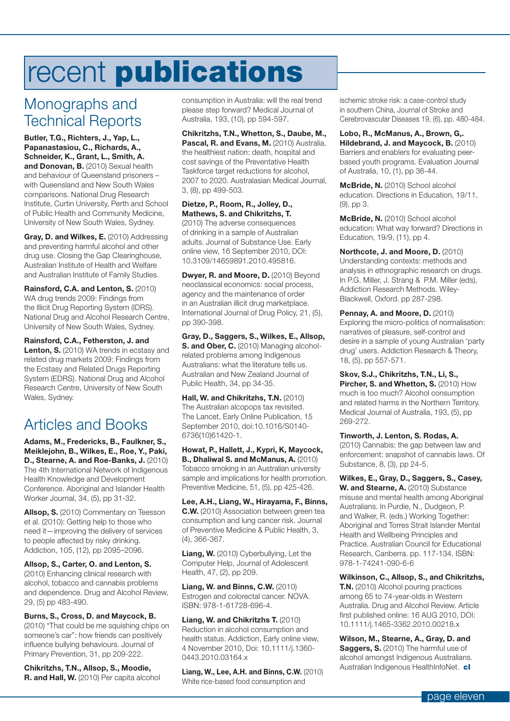### recent **publications**

#### Monographs and Technical Reports

**Butler, T.G., Richters, J., Yap, L., Papanastasiou, C., Richards, A., Schneider, K., Grant, L., Smith, A.**  and Donovan, B. (2010) Sexual health and behaviour of Queensland prisoners – with Queensland and New South Wales comparisons. National Drug Research Institute, Curtin University, Perth and School of Public Health and Community Medicine, University of New South Wales, Sydney.

**Gray, D. and Wilkes, E.** (2010) Addressing and preventing harmful alcohol and other drug use. Closing the Gap Clearinghouse, Australian Institute of Health and Welfare and Australian Institute of Family Studies.

**Rainsford, C.A. and Lenton, S.** (2010) WA drug trends 2009: Findings from the Illicit Drug Reporting System (IDRS). National Drug and Alcohol Research Centre, University of New South Wales, Sydney.

**Rainsford, C.A., Fetherston, J. and**  Lenton, S. (2010) WA trends in ecstasy and related drug markets 2009: Findings from the Ecstasy and Related Drugs Reporting System (EDRS). National Drug and Alcohol Research Centre, University of New South Wales, Sydney.

### Articles and Books

**Adams, M., Fredericks, B., Faulkner, S., Meiklejohn, B., Wilkes, E., Roe, Y., Paki, D., Stearne, A. and Roe-Banks, J.** (2010) The 4th International Network of Indigenous Health Knowledge and Development Conference. Aboriginal and Islander Health Worker Journal, 34, (5), pp 31-32.

**Allsop, S.** (2010) Commentary on Teesson et al. (2010): Getting help to those who need it—improving the delivery of services to people affected by risky drinking. Addiction, 105, (12), pp 2095–2096.

**Allsop, S., Carter, O. and Lenton, S.**  (2010) Enhancing clinical research with alcohol, tobacco and cannabis problems and dependence. Drug and Alcohol Review, 29, (5) pp 483-490.

**Burns, S., Cross, D. and Maycock, B.**  (2010) "That could be me squishing chips on someone's car": how friends can positively influence bullying behaviours. Journal of Primary Prevention, 31, pp 209-222.

**Chikritzhs, T.N., Allsop, S., Moodie, R. and Hall, W.** (2010) Per capita alcohol consumption in Australia: will the real trend please step forward? Medical Journal of Australia, 193, (10), pp 594-597.

**Chikritzhs, T.N., Whetton, S., Daube, M.,**  Pascal, R. and Evans, M. (2010) Australia, the healthiest nation: death, hospital and cost savings of the Preventative Health Taskforce target reductions for alcohol, 2007 to 2020. Australasian Medical Journal, 3, (8), pp 499-503.

#### **Dietze, P., Room, R., Jolley, D., Mathews, S. and Chikritzhs, T.**

(2010) The adverse consequences of drinking in a sample of Australian adults. Journal of Substance Use. Early online view, 16 September 2010, DOI: 10.3109/14659891.2010.495816.

**Dwyer, R. and Moore, D.** (2010) Beyond neoclassical economics: social process, agency and the maintenance of order in an Australian illicit drug marketplace. International Journal of Drug Policy, 21, (5), pp 390-398.

**Gray, D., Saggers, S., Wilkes, E., Allsop, S. and Ober, C.** (2010) Managing alcoholrelated problems among Indigenous Australians: what the literature tells us. Australian and New Zealand Journal of Public Health, 34, pp 34-35.

**Hall, W. and Chikritzhs, T.N.** (2010) The Australian alcopops tax revisited. The Lancet, Early Online Publication, 15 September 2010, doi:10.1016/S0140- 6736(10)61420-1.

**Howat, P., Hallett, J., Kypri, K, Maycock, B., Dhaliwal S. and McManus, A.** (2010) Tobacco smoking in an Australian university sample and implications for health promotion. Preventive Medicine, 51, (5), pp 425-426.

**Lee, A.H., Liang, W., Hirayama, F., Binns, C.W.** (2010) Association between green tea consumption and lung cancer risk. Journal of Preventive Medicine & Public Health, 3, (4), 366-367.

**Liang, W.** (2010) Cyberbullying, Let the Computer Help, Journal of Adolescent Health, 47, (2), pp 209.

**Liang, W. and Binns, C.W.** (2010) Estrogen and colorectal cancer. NOVA. ISBN: 978-1-61728-696-4.

**Liang, W. and Chikritzhs T.** (2010) Reduction in alcohol consumption and health status. Addiction, Early online view, 4 November 2010, Doi: 10.1111/j.1360- 0443.2010.03164.x

**Liang, W., Lee, A.H. and Binns, C.W.** (2010) White rice-based food consumption and

ischemic stroke risk: a case-control study in southern China, Journal of Stroke and Cerebrovascular Diseases 19, (6), pp. 480-484.

**Lobo, R., McManus, A., Brown, G,. Hildebrand, J. and Maycock, B.** (2010) Barriers and enablers for evaluating peerbased youth programs. Evaluation Journal of Australia, 10, (1), pp 36-44.

**McBride, N.** (2010) School alcohol education. Directions in Education, 19/11, (9), pp 3.

**McBride, N.** (2010) School alcohol education: What way forward? Directions in Education, 19/9, (11), pp 4.

**Northcote, J. and Moore, D.** (2010) Understanding contexts: methods and analysis in ethnographic research on drugs. In P.G. Miller, J. Strang & P.M. Miller (eds), Addiction Research Methods. Wiley-Blackwell, Oxford. pp 287-298.

**Pennay, A. and Moore, D. (2010)** Exploring the micro-politics of normalisation: narratives of pleasure, self-control and desire in a sample of young Australian 'party drug' users. Addiction Research & Theory, 18, (5), pp 557-571.

**Skov, S.J., Chikritzhs, T.N., Li, S., Pircher, S. and Whetton, S. (2010) How** much is too much? Alcohol consumption and related harms in the Northern Territory. Medical Journal of Australia, 193, (5), pp 269-272.

**Tinworth, J. Lenton, S. Rodas, A.** (2010) Cannabis: the gap between law and enforcement: snapshot of cannabis laws. Of Substance, 8, (3), pp 24-5.

**Wilkes, E., Gray, D., Saggers, S., Casey, W. and Stearne, A.** (2010) Substance misuse and mental health among Aboriginal Australians. In Purdie, N., Dudgeon, P. and Walker, R. (eds.) Working Together: Aboriginal and Torres Strait Islander Mental Health and Wellbeing Principles and Practice. Australian Council for Educational Research, Canberra. pp. 117-134. ISBN: 978-1-74241-090-6-6

**Wilkinson, C., Allsop, S., and Chikritzhs, T.N.** (2010) Alcohol pouring practices among 65 to 74-year-olds in Western Australia. Drug and Alcohol Review. Article first published online: 16 AUG 2010, DOI: 10.1111/j.1465-3362.2010.00218.x

**Wilson, M., Stearne, A., Gray, D. and Saggers, S.** (2010) The harmful use of alcohol amongst Indigenous Australians. Australian Indigenous HealthInfoNet. **cl**